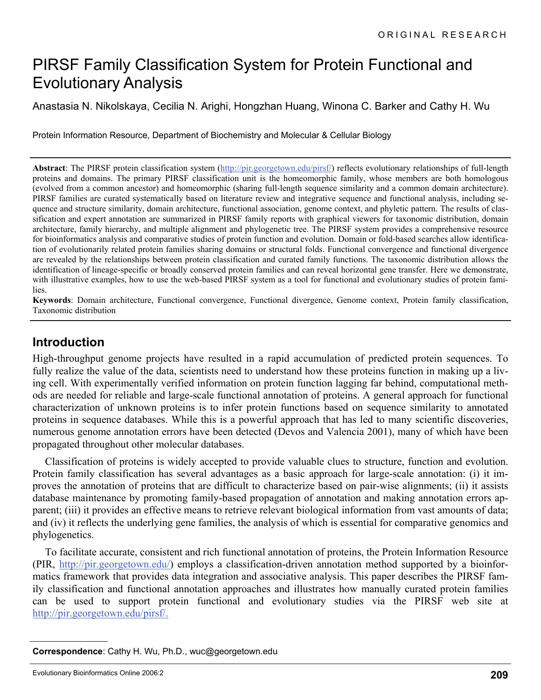# PIRSF Family Classification System for Protein Functional and Evolutionary Analysis

Anastasia N. Nikolskaya, Cecilia N. Arighi, Hongzhan Huang, Winona C. Barker and Cathy H. Wu

Protein Information Resource, Department of Biochemistry and Molecular & Cellular Biology

**Abstract**: The PIRSF protein classification system (http://pir.georgetown.edu/pirsf/) reflects evolutionary relationships of full-length proteins and domains. The primary PIRSF classification unit is the homeomorphic family, whose members are both homologous (evolved from a common ancestor) and homeomorphic (sharing full-length sequence similarity and a common domain architecture). PIRSF families are curated systematically based on literature review and integrative sequence and functional analysis, including sequence and structure similarity, domain architecture, functional association, genome context, and phyletic pattern. The results of classification and expert annotation are summarized in PIRSF family reports with graphical viewers for taxonomic distribution, domain architecture, family hierarchy, and multiple alignment and phylogenetic tree. The PIRSF system provides a comprehensive resource for bioinformatics analysis and comparative studies of protein function and evolution. Domain or fold-based searches allow identification of evolutionarily related protein families sharing domains or structural folds. Functional convergence and functional divergence are revealed by the relationships between protein classification and curated family functions. The taxonomic distribution allows the identification of lineage-specific or broadly conserved protein families and can reveal horizontal gene transfer. Here we demonstrate, with illustrative examples, how to use the web-based PIRSF system as a tool for functional and evolutionary studies of protein families.

**Keywords**: Domain architecture, Functional convergence, Functional divergence, Genome context, Protein family classification, Taxonomic distribution

#### **Introduction**

High-throughput genome projects have resulted in a rapid accumulation of predicted protein sequences. To fully realize the value of the data, scientists need to understand how these proteins function in making up a living cell. With experimentally verified information on protein function lagging far behind, computational methods are needed for reliable and large-scale functional annotation of proteins. A general approach for functional characterization of unknown proteins is to infer protein functions based on sequence similarity to annotated proteins in sequence databases. While this is a powerful approach that has led to many scientific discoveries, numerous genome annotation errors have been detected (Devos and Valencia 2001), many of which have been propagated throughout other molecular databases.

Classification of proteins is widely accepted to provide valuable clues to structure, function and evolution. Protein family classification has several advantages as a basic approach for large-scale annotation: (i) it improves the annotation of proteins that are difficult to characterize based on pair-wise alignments; (ii) it assists database maintenance by promoting family-based propagation of annotation and making annotation errors apparent; (iii) it provides an effective means to retrieve relevant biological information from vast amounts of data; and (iv) it reflects the underlying gene families, the analysis of which is essential for comparative genomics and phylogenetics.

To facilitate accurate, consistent and rich functional annotation of proteins, the Protein Information Resource (PIR, http://pir.georgetown.edu/) employs a classification-driven annotation method supported by a bioinformatics framework that provides data integration and associative analysis. This paper describes the PIRSF family classification and functional annotation approaches and illustrates how manually curated protein families can be used to support protein functional and evolutionary studies via the PIRSF web site at http://pir.georgetown.edu/pirsf/.

**Correspondence**: Cathy H. Wu, Ph.D., wuc@georgetown.edu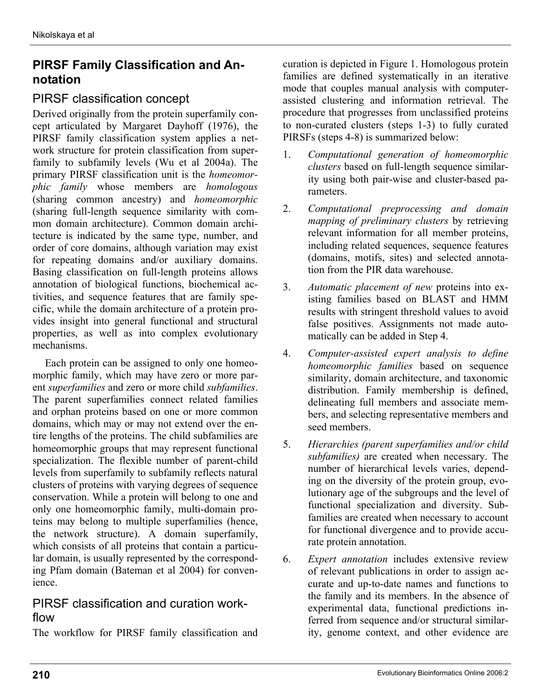# **PIRSF Family Classification and Annotation**

# PIRSF classification concept

Derived originally from the protein superfamily concept articulated by Margaret Dayhoff (1976), the PIRSF family classification system applies a network structure for protein classification from superfamily to subfamily levels (Wu et al 2004a). The primary PIRSF classification unit is the *homeomorphic family* whose members are *homologous* (sharing common ancestry) and *homeomorphic* (sharing full-length sequence similarity with common domain architecture). Common domain architecture is indicated by the same type, number, and order of core domains, although variation may exist for repeating domains and/or auxiliary domains. Basing classification on full-length proteins allows annotation of biological functions, biochemical activities, and sequence features that are family specific, while the domain architecture of a protein provides insight into general functional and structural properties, as well as into complex evolutionary mechanisms.

Each protein can be assigned to only one homeomorphic family, which may have zero or more parent *superfamilies* and zero or more child *subfamilies*. The parent superfamilies connect related families and orphan proteins based on one or more common domains, which may or may not extend over the entire lengths of the proteins. The child subfamilies are homeomorphic groups that may represent functional specialization. The flexible number of parent-child levels from superfamily to subfamily reflects natural clusters of proteins with varying degrees of sequence conservation. While a protein will belong to one and only one homeomorphic family, multi-domain proteins may belong to multiple superfamilies (hence, the network structure). A domain superfamily, which consists of all proteins that contain a particular domain, is usually represented by the corresponding Pfam domain (Bateman et al 2004) for convenience.

#### PIRSF classification and curation workflow

The workflow for PIRSF family classification and

curation is depicted in Figure 1. Homologous protein families are defined systematically in an iterative mode that couples manual analysis with computerassisted clustering and information retrieval. The procedure that progresses from unclassified proteins to non-curated clusters (steps 1-3) to fully curated PIRSFs (steps 4-8) is summarized below:

- 1. *Computational generation of homeomorphic clusters* based on full-length sequence similarity using both pair-wise and cluster-based parameters.
- 2. *Computational preprocessing and domain mapping of preliminary clusters* by retrieving relevant information for all member proteins, including related sequences, sequence features (domains, motifs, sites) and selected annotation from the PIR data warehouse.
- 3. *Automatic placement of new* proteins into existing families based on BLAST and HMM results with stringent threshold values to avoid false positives. Assignments not made automatically can be added in Step 4.
- 4. *Computer-assisted expert analysis to define homeomorphic families* based on sequence similarity, domain architecture, and taxonomic distribution. Family membership is defined, delineating full members and associate members, and selecting representative members and seed members.
- 5. *Hierarchies (parent superfamilies and/or child subfamilies)* are created when necessary. The number of hierarchical levels varies, depending on the diversity of the protein group, evolutionary age of the subgroups and the level of functional specialization and diversity. Subfamilies are created when necessary to account for functional divergence and to provide accurate protein annotation.
- 6. *Expert annotation* includes extensive review of relevant publications in order to assign accurate and up-to-date names and functions to the family and its members. In the absence of experimental data, functional predictions inferred from sequence and/or structural similarity, genome context, and other evidence are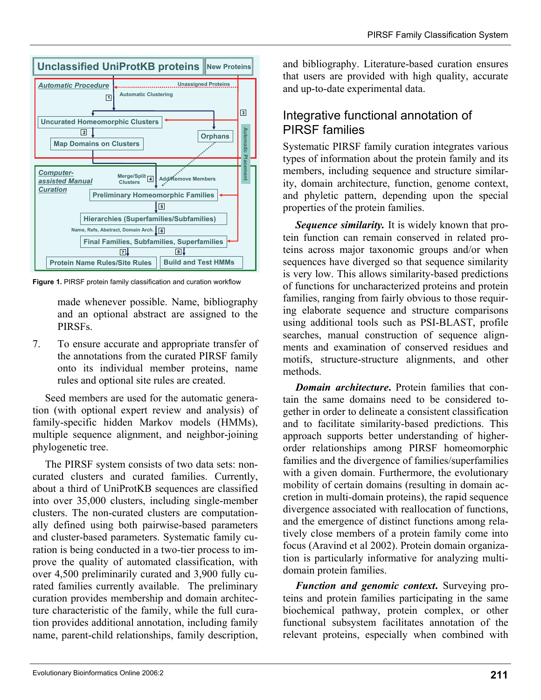

**Figure 1.** PIRSF protein family classification and curation workflow

made whenever possible. Name, bibliography and an optional abstract are assigned to the PIRSFs.

7. To ensure accurate and appropriate transfer of the annotations from the curated PIRSF family onto its individual member proteins, name rules and optional site rules are created.

Seed members are used for the automatic generation (with optional expert review and analysis) of family-specific hidden Markov models (HMMs), multiple sequence alignment, and neighbor-joining phylogenetic tree.

The PIRSF system consists of two data sets: noncurated clusters and curated families. Currently, about a third of UniProtKB sequences are classified into over 35,000 clusters, including single-member clusters. The non-curated clusters are computationally defined using both pairwise-based parameters and cluster-based parameters. Systematic family curation is being conducted in a two-tier process to improve the quality of automated classification, with over 4,500 preliminarily curated and 3,900 fully curated families currently available. The preliminary curation provides membership and domain architecture characteristic of the family, while the full curation provides additional annotation, including family name, parent-child relationships, family description, and bibliography. Literature-based curation ensures that users are provided with high quality, accurate and up-to-date experimental data.

#### Integrative functional annotation of PIRSF families

Systematic PIRSF family curation integrates various types of information about the protein family and its members, including sequence and structure similarity, domain architecture, function, genome context, and phyletic pattern, depending upon the special properties of the protein families.

*Sequence similarity.* It is widely known that protein function can remain conserved in related proteins across major taxonomic groups and/or when sequences have diverged so that sequence similarity is very low. This allows similarity-based predictions of functions for uncharacterized proteins and protein families, ranging from fairly obvious to those requiring elaborate sequence and structure comparisons using additional tools such as PSI-BLAST, profile searches, manual construction of sequence alignments and examination of conserved residues and motifs, structure-structure alignments, and other methods.

*Domain architecture***.** Protein families that contain the same domains need to be considered together in order to delineate a consistent classification and to facilitate similarity-based predictions. This approach supports better understanding of higherorder relationships among PIRSF homeomorphic families and the divergence of families/superfamilies with a given domain. Furthermore, the evolutionary mobility of certain domains (resulting in domain accretion in multi-domain proteins), the rapid sequence divergence associated with reallocation of functions, and the emergence of distinct functions among relatively close members of a protein family come into focus (Aravind et al 2002). Protein domain organization is particularly informative for analyzing multidomain protein families.

*Function and genomic context***.** Surveying proteins and protein families participating in the same biochemical pathway, protein complex, or other functional subsystem facilitates annotation of the relevant proteins, especially when combined with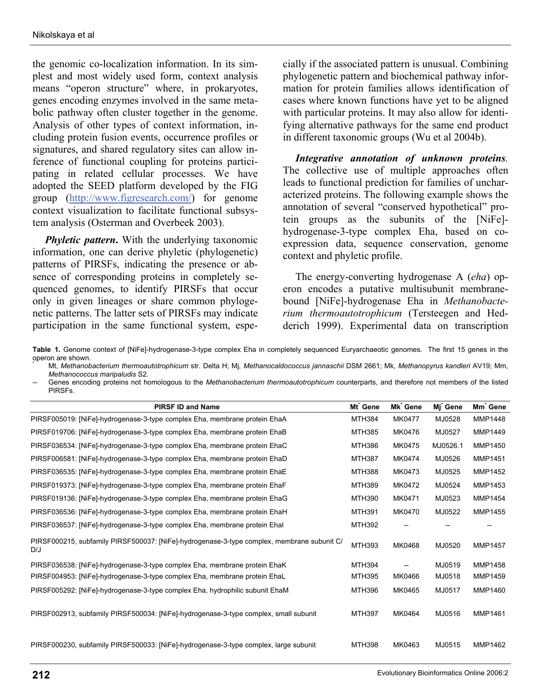the genomic co-localization information. In its simplest and most widely used form, context analysis means "operon structure" where, in prokaryotes, genes encoding enzymes involved in the same metabolic pathway often cluster together in the genome. Analysis of other types of context information, including protein fusion events, occurrence profiles or signatures, and shared regulatory sites can allow inference of functional coupling for proteins participating in related cellular processes. We have adopted the SEED platform developed by the FIG group (http://www.figresearch.com/) for genome context visualization to facilitate functional subsystem analysis (Osterman and Overbeek 2003).

*Phyletic pattern.* With the underlying taxonomic information, one can derive phyletic (phylogenetic) patterns of PIRSFs, indicating the presence or absence of corresponding proteins in completely sequenced genomes, to identify PIRSFs that occur only in given lineages or share common phylogenetic patterns. The latter sets of PIRSFs may indicate participation in the same functional system, especially if the associated pattern is unusual. Combining phylogenetic pattern and biochemical pathway information for protein families allows identification of cases where known functions have yet to be aligned with particular proteins. It may also allow for identifying alternative pathways for the same end product in different taxonomic groups (Wu et al 2004b).

*Integrative annotation of unknown proteins.* The collective use of multiple approaches often leads to functional prediction for families of uncharacterized proteins. The following example shows the annotation of several "conserved hypothetical" protein groups as the subunits of the [NiFe] hydrogenase-3-type complex Eha, based on coexpression data, sequence conservation, genome context and phyletic profile.

The energy-converting hydrogenase A (*eha*) operon encodes a putative multisubunit membranebound [NiFe]-hydrogenase Eha in *Methanobacterium thermoautotrophicum* (Tersteegen and Hedderich 1999). Experimental data on transcription

**Table 1.** Genome context of [NiFe]-hydrogenase-3-type complex Eha in completely sequenced Euryarchaeotic genomes. The first 15 genes in the operon are shown.

\* Mt, *Methanobacterium thermoautotrophicum* str. Delta H; Mj, *Methanocaldococcus jannaschii* DSM 2661; Mk, *Methanopyrus kandleri* AV19; Mm, *Methanococcus maripaludis* S2.

Genes encoding proteins not homologous to the *Methanobacterium thermoautotrophicum* counterparts, and therefore not members of the listed PIRSFs.

| <b>PIRSF ID and Name</b>                                                                          | Mt <sup>*</sup> Gene | Mk <sup>*</sup> Gene | Mj <sup>*</sup> Gene | Mm <sup>*</sup> Gene |
|---------------------------------------------------------------------------------------------------|----------------------|----------------------|----------------------|----------------------|
| PIRSF005019: [NiFe]-hydrogenase-3-type complex Eha, membrane protein EhaA                         | <b>MTH384</b>        | MK0477               | MJ0528               | <b>MMP1448</b>       |
| PIRSF019706: [NiFe]-hydrogenase-3-type complex Eha, membrane protein EhaB                         | <b>MTH385</b>        | MK0476               | MJ0527               | MMP1449              |
| PIRSF036534: [NiFe]-hydrogenase-3-type complex Eha, membrane protein EhaC                         | <b>MTH386</b>        | MK0475               | MJ0526.1             | <b>MMP1450</b>       |
| PIRSF006581: [NiFe]-hydrogenase-3-type complex Eha, membrane protein EhaD                         | <b>MTH387</b>        | MK0474               | MJ0526               | MMP1451              |
| PIRSF036535: [NiFe]-hydrogenase-3-type complex Eha, membrane protein EhaE                         | <b>MTH388</b>        | MK0473               | MJ0525               | <b>MMP1452</b>       |
| PIRSF019373: [NiFe]-hydrogenase-3-type complex Eha, membrane protein EhaF                         | <b>MTH389</b>        | MK0472               | MJ0524               | MMP1453              |
| PIRSF019136: [NiFe]-hydrogenase-3-type complex Eha, membrane protein EhaG                         | <b>MTH390</b>        | MK0471               | MJ0523               | <b>MMP1454</b>       |
| PIRSF036536: [NiFe]-hydrogenase-3-type complex Eha, membrane protein EhaH                         | <b>MTH391</b>        | MK0470               | MJ0522               | <b>MMP1455</b>       |
| PIRSF036537: [NiFe]-hydrogenase-3-type complex Eha, membrane protein Ehal                         | <b>MTH392</b>        |                      |                      |                      |
| PIRSF000215, subfamily PIRSF500037: [NiFe]-hydrogenase-3-type complex, membrane subunit C/<br>D/J | <b>MTH393</b>        | MK0468               | MJ0520               | <b>MMP1457</b>       |
| PIRSF036538: [NiFe]-hydrogenase-3-type complex Eha, membrane protein EhaK                         | <b>MTH394</b>        |                      | MJ0519               | <b>MMP1458</b>       |
| PIRSF004953: [NiFe]-hydrogenase-3-type complex Eha, membrane protein EhaL                         | <b>MTH395</b>        | MK0466               | MJ0518               | <b>MMP1459</b>       |
| PIRSF005292: [NiFe]-hydrogenase-3-type complex Eha, hydrophilic subunit EhaM                      | <b>MTH396</b>        | MK0465               | MJ0517               | <b>MMP1460</b>       |
| PIRSF002913, subfamily PIRSF500034: [NiFe]-hydrogenase-3-type complex, small subunit              | <b>MTH397</b>        | MK0464               | MJ0516               | MMP1461              |
| PIRSF000230, subfamily PIRSF500033: [NiFe]-hydrogenase-3-type complex, large subunit              | <b>MTH398</b>        | MK0463               | MJ0515               | MMP1462              |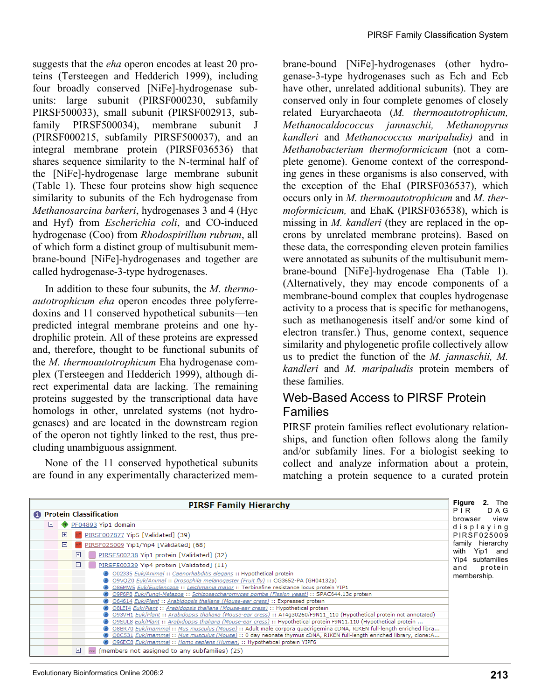suggests that the *eha* operon encodes at least 20 proteins (Tersteegen and Hedderich 1999), including four broadly conserved [NiFe]-hydrogenase subunits: large subunit (PIRSF000230, subfamily PIRSF500033), small subunit (PIRSF002913, subfamily PIRSF500034), membrane subunit J (PIRSF000215, subfamily PIRSF500037), and an integral membrane protein (PIRSF036536) that shares sequence similarity to the N-terminal half of the [NiFe]-hydrogenase large membrane subunit (Table 1). These four proteins show high sequence similarity to subunits of the Ech hydrogenase from *Methanosarcina barkeri*, hydrogenases 3 and 4 (Hyc and Hyf) from *Escherichia coli*, and CO-induced hydrogenase (Coo) from *Rhodospirillum rubrum*, all of which form a distinct group of multisubunit membrane-bound [NiFe]-hydrogenases and together are called hydrogenase-3-type hydrogenases.

In addition to these four subunits, the *M. thermoautotrophicum eha* operon encodes three polyferredoxins and 11 conserved hypothetical subunits—ten predicted integral membrane proteins and one hydrophilic protein. All of these proteins are expressed and, therefore, thought to be functional subunits of the *M. thermoautotrophicum* Eha hydrogenase complex (Tersteegen and Hedderich 1999), although direct experimental data are lacking. The remaining proteins suggested by the transcriptional data have homologs in other, unrelated systems (not hydrogenases) and are located in the downstream region of the operon not tightly linked to the rest, thus precluding unambiguous assignment.

None of the 11 conserved hypothetical subunits are found in any experimentally characterized mem-

brane-bound [NiFe]-hydrogenases (other hydrogenase-3-type hydrogenases such as Ech and Ecb have other, unrelated additional subunits). They are conserved only in four complete genomes of closely related Euryarchaeota (*M. thermoautotrophicum, Methanocaldococcus jannaschii, Methanopyrus kandleri* and *Methanococcus maripaludis)* and in *Methanobacterium thermoformicicum* (not a complete genome). Genome context of the corresponding genes in these organisms is also conserved, with the exception of the EhaI (PIRSF036537), which occurs only in *M. thermoautotrophicum* and *M. thermoformicicum,* and EhaK (PIRSF036538), which is missing in *M. kandleri* (they are replaced in the operons by unrelated membrane proteins). Based on these data, the corresponding eleven protein families were annotated as subunits of the multisubunit membrane-bound [NiFe]-hydrogenase Eha (Table 1). (Alternatively, they may encode components of a membrane-bound complex that couples hydrogenase activity to a process that is specific for methanogens, such as methanogenesis itself and/or some kind of electron transfer.) Thus, genome context, sequence similarity and phylogenetic profile collectively allow us to predict the function of the *M. jannaschii, M. kandleri* and *M. maripaludis* protein members of these families.

# Web-Based Access to PIRSF Protein Families

PIRSF protein families reflect evolutionary relationships, and function often follows along the family and/or subfamily lines. For a biologist seeking to collect and analyze information about a protein, matching a protein sequence to a curated protein

|    |   | <b>PIRSF Family Hierarchy</b>                                                                                          | 2. The<br>Figure<br>PIR<br>D A G      |
|----|---|------------------------------------------------------------------------------------------------------------------------|---------------------------------------|
| A. |   | <b>Protein Classification</b>                                                                                          | view<br>browser                       |
|    | ⊟ | PF04893 Yip1 domain                                                                                                    | displaying                            |
|    |   | ⊞<br>PIRSF007877 Yip5 [Validated] (39)                                                                                 | PIRSF025009                           |
|    |   | ⊟<br>HF PIRSF025009 Yip1/Yip4 [Validated] (68)                                                                         | family hierarchy                      |
|    |   | 国<br>PIRSF500238 Yip1 protein [Validated] (32)                                                                         | with<br>Yip1 and                      |
|    |   | $\Box$<br>PIRSF500239 Yip4 protein [Validated] (11)                                                                    | subfamilies<br>Yip4<br>protein<br>and |
|    |   | O02335 Euk/Animal :: Caenorhabditis elegans :: Hypothetical protein                                                    | membership.                           |
|    |   | O9VQZ0 Euk/Animal :: Drosophila melanogaster (Fruit fly) :: CG3652-PA (GH04132p)                                       |                                       |
|    |   | Q86MW5 Euk/Euglenozoa :: Leishmania major :: Terbinafine resistance locus protein YIP1                                 |                                       |
|    |   | Q9P6P8 Euk/Fungi-Metazoa :: Schizosaccharomyces pombe (Fission yeast) :: SPAC644.13c protein                           |                                       |
|    |   | O64614 Euk/Plant :: Arabidopsis thaliana (Mouse-ear cress) :: Expressed protein                                        |                                       |
|    |   | Q8LEI4 Euk/Plant :: Arabidopsis thaliana (Mouse-ear cress) :: Hypothetical protein                                     |                                       |
|    |   | Q93VH1 Euk/Plant :: Arabidopsis thaliana (Mouse-ear cress) :: AT4g30260/F9N11_110 (Hypothetical protein not annotated) |                                       |
|    |   | Q9SUL8 Euk/Plant :: Arabidopsis thaliana (Mouse-ear cress) :: Hypothetical protein F9N11.110 (Hypothetical protein     |                                       |
|    |   | Q8BR70 Euk/mammal :: Mus musculus (Mouse) :: Adult male corpora quadrigemina cDNA, RIKEN full-length enriched libra    |                                       |
|    |   | Q8C531 Euk/mammal :: Mus musculus (Mouse) :: 0 day neonate thymus cDNA, RIKEN full-length enriched library, clone:A    |                                       |
|    |   | Q96EC8 Euk/mammal :: Homo sapiens (Human) :: Hypothetical protein YIPF6                                                |                                       |
|    |   | ⊞<br>(members not assigned to any subfamilies) (25)                                                                    |                                       |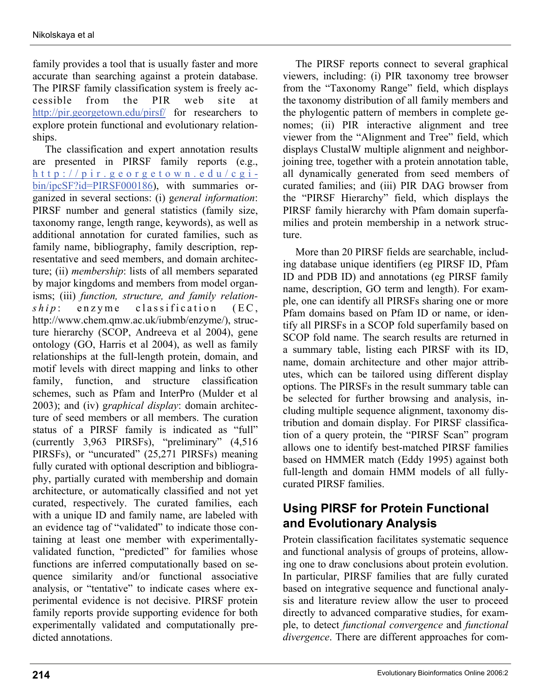family provides a tool that is usually faster and more accurate than searching against a protein database. The PIRSF family classification system is freely accessible from the PIR web site at http://pir.georgetown.edu/pirsf/ for researchers to explore protein functional and evolutionary relationships.

The classification and expert annotation results are presented in PIRSF family reports (e.g., http://pir.georgetown.edu/cgibin/ipcSF?id=PIRSF000186), with summaries organized in several sections: (i) g*eneral information*: PIRSF number and general statistics (family size, taxonomy range, length range, keywords), as well as additional annotation for curated families, such as family name, bibliography, family description, representative and seed members, and domain architecture; (ii) *membership*: lists of all members separated by major kingdoms and members from model organisms; (iii) *function, structure, and family relationship*: enzyme classification (EC, http://www.chem.qmw.ac.uk/iubmb/enzyme/), structure hierarchy (SCOP, Andreeva et al 2004), gene ontology (GO, Harris et al 2004), as well as family relationships at the full-length protein, domain, and motif levels with direct mapping and links to other family, function, and structure classification schemes, such as Pfam and InterPro (Mulder et al 2003); and (iv) g*raphical display*: domain architecture of seed members or all members. The curation status of a PIRSF family is indicated as "full" (currently 3,963 PIRSFs), "preliminary" (4,516 PIRSFs), or "uncurated" (25,271 PIRSFs) meaning fully curated with optional description and bibliography, partially curated with membership and domain architecture, or automatically classified and not yet curated, respectively. The curated families, each with a unique ID and family name, are labeled with an evidence tag of "validated" to indicate those containing at least one member with experimentallyvalidated function, "predicted" for families whose functions are inferred computationally based on sequence similarity and/or functional associative analysis, or "tentative" to indicate cases where experimental evidence is not decisive. PIRSF protein family reports provide supporting evidence for both experimentally validated and computationally predicted annotations.

The PIRSF reports connect to several graphical viewers, including: (i) PIR taxonomy tree browser from the "Taxonomy Range" field, which displays the taxonomy distribution of all family members and the phylogentic pattern of members in complete genomes; (ii) PIR interactive alignment and tree viewer from the "Alignment and Tree" field, which displays ClustalW multiple alignment and neighborjoining tree, together with a protein annotation table, all dynamically generated from seed members of curated families; and (iii) PIR DAG browser from the "PIRSF Hierarchy" field, which displays the PIRSF family hierarchy with Pfam domain superfamilies and protein membership in a network structure.

More than 20 PIRSF fields are searchable, including database unique identifiers (eg PIRSF ID, Pfam ID and PDB ID) and annotations (eg PIRSF family name, description, GO term and length). For example, one can identify all PIRSFs sharing one or more Pfam domains based on Pfam ID or name, or identify all PIRSFs in a SCOP fold superfamily based on SCOP fold name. The search results are returned in a summary table, listing each PIRSF with its ID, name, domain architecture and other major attributes, which can be tailored using different display options. The PIRSFs in the result summary table can be selected for further browsing and analysis, including multiple sequence alignment, taxonomy distribution and domain display. For PIRSF classification of a query protein, the "PIRSF Scan" program allows one to identify best-matched PIRSF families based on HMMER match (Eddy 1995) against both full-length and domain HMM models of all fullycurated PIRSF families.

## **Using PIRSF for Protein Functional and Evolutionary Analysis**

Protein classification facilitates systematic sequence and functional analysis of groups of proteins, allowing one to draw conclusions about protein evolution. In particular, PIRSF families that are fully curated based on integrative sequence and functional analysis and literature review allow the user to proceed directly to advanced comparative studies, for example, to detect *functional convergence* and *functional divergence*. There are different approaches for com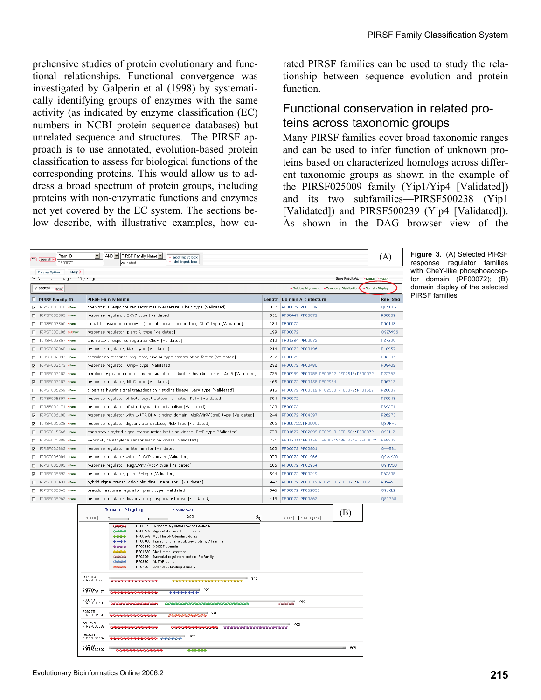prehensive studies of protein evolutionary and functional relationships. Functional convergence was investigated by Galperin et al (1998) by systematically identifying groups of enzymes with the same activity (as indicated by enzyme classification (EC) numbers in NCBI protein sequence databases) but unrelated sequence and structures. The PIRSF approach is to use annotated, evolution-based protein classification to assess for biological functions of the corresponding proteins. This would allow us to address a broad spectrum of protein groups, including proteins with non-enzymatic functions and enzymes not yet covered by the EC system. The sections below describe, with illustrative examples, how curated PIRSF families can be used to study the relationship between sequence evolution and protein function.

#### Functional conservation in related proteins across taxonomic groups

Many PIRSF families cover broad taxonomic ranges and can be used to infer function of unknown proteins based on characterized homologs across different taxonomic groups as shown in the example of the PIRSF025009 family (Yip1/Yip4 [Validated]) and its two subfamilies—PIRSF500238 (Yip1 [Validated]) and PIRSF500239 (Yip4 [Validated]). As shown in the DAG browser view of the

| Pfam ID<br>$\Box$ (search $\blacktriangleright$<br>PF00072                             | $\overline{\phantom{a}}$<br>AND - PIRSF Family Name -<br>+ add input box<br>del input box<br>validated |     |                                              |               |  |  |  |  |
|----------------------------------------------------------------------------------------|--------------------------------------------------------------------------------------------------------|-----|----------------------------------------------|---------------|--|--|--|--|
| Help?<br>Display Option D<br>24 families   1 page   50 / page                          |                                                                                                        |     | Save Result As: VTABLE   VFASTA              |               |  |  |  |  |
| 7 selected<br>· Domain Display<br>show<br>. Multiple Alignment . Taxonomy Distribution |                                                                                                        |     |                                              |               |  |  |  |  |
| PIRSF Family ID                                                                        | <b>PIRSF Family Name</b>                                                                               |     | Length Domain Architecture                   | Rep. Seq.     |  |  |  |  |
| PIRSF000876 HFam<br>⊽                                                                  | chemotaxis response regulator methylesterase, CheB type [Validated]                                    | 357 | PF00072: PF01339                             | Q8XCF9        |  |  |  |  |
| PIRSF002595 HFam                                                                       | response reqularor, SKN7 type [Validated]                                                              | 551 | PF00447: PF00072                             | P38889        |  |  |  |  |
| PIRSF002866 HFam<br>п.                                                                 | signal transduction receiver (phosphoacceptor) protein, CheY type [Validated]                          | 134 | PF00072                                      | P06143        |  |  |  |  |
| PIRSF500186 SubFam                                                                     | response requiator, plant A-type [Validated]                                                           | 199 | PF00072                                      | Q9ZWS6        |  |  |  |  |
| FIRSF002867 HFam                                                                       | chemotaxis response requlator CheV [Validated]                                                         | 312 | PF01584: PF00072                             | P37599        |  |  |  |  |
| PIRSF002868 HFam<br>п.                                                                 | response requiator, NarL type [Validated]                                                              | 214 | PF00072:PF00196                              | P10957        |  |  |  |  |
| PIRSF002937 HFam<br>п.                                                                 | sporulation response requlator, Spo0A type transcription factor [Validated]                            | 257 | PF00072                                      | P06534        |  |  |  |  |
| ⊽<br>PIRSF003173 HFam                                                                  | response regulator, OmpR type [Validated]                                                              | 232 | PF00072:PF00486                              | P08402        |  |  |  |  |
| PIRSF003182 HFam<br>г.                                                                 | aerobic respiration control hybrid signal transduction histidine kinase ArcB [Validated]               | 736 | PF00989: PF00785: PF00512: PF02518: PF00072  | P22763        |  |  |  |  |
| PIRSF003187 HFam<br>⊽                                                                  | response requiator, NtrC type [Validated]                                                              | 465 | PF00072: PF00158: PF02954                    | P06713        |  |  |  |  |
| PIRSF005259 HFam                                                                       | tripartite hybrid signal transduction histidine kinase, BarA type [Validated]                          | 916 | PF00672: PF00512: PF02518: PF00072: PF01627  | P26607        |  |  |  |  |
| PIRSF005897 HFam                                                                       | response requiator of heterocyst pattern formation PatA [Validated]                                    | 394 | PF00072                                      | P39048        |  |  |  |  |
| PIRSF006171 HFam<br>п.                                                                 | response requiator of citrate/malate metabolism [Validated]                                            | 229 | PF00072                                      | P39271        |  |  |  |  |
| PIRSF006198 HFam<br>$\overline{\mathbf{v}}$                                            | response regulator with LytTR DNA-binding domain, AlgR/VirR/ComE type [Validated]                      | 244 | PF00072: PF04397                             | P26275        |  |  |  |  |
| PIRSF006638 HFam<br>⊽                                                                  | response regulator diguanylate cyclase, PleD type [Validated]                                          | 396 | PF000722:PF00990                             | OBUFV0        |  |  |  |  |
| PIRSF015566 HFam                                                                       | chemotaxis hybrid signal transduction histidine kinase, FrzE type [Validated]                          | 779 | PF01627: PF02895: PF02518: PF01584: PF00072  | O9PIL2        |  |  |  |  |
| PIRSF026389 HFam<br>п.                                                                 | Hybrid-type ethylene sensor histidine kinase [Validated]                                               | 751 | PF017011: PF01590: PF00512: PF02518: PF00072 | P49333        |  |  |  |  |
| PIRSF036382 HFam<br>⊽                                                                  | response requlator antiterminator [Validated]                                                          | 200 | PF00072:PF03861                              | Q44531        |  |  |  |  |
| PIRSF036384 HFam<br>п.                                                                 | response requlator with HD-GYP domain [Validated]                                                      | 379 | PF00072: PF01966                             | Q9WY30        |  |  |  |  |
| PIRSF036385 HFam                                                                       | response requiator, RegA/PrrA/ActR type [Validated]                                                    | 185 | PF00072: PF02954                             | O9HVS8        |  |  |  |  |
| PIRSF036392 HFam<br>⊽                                                                  | response requiator, plant B-type [Validated]                                                           | 544 | PF00072:PF00249                              | P62598        |  |  |  |  |
| PIRSF036437 HFam                                                                       | hybrid signal transduction histidine kinase TorS [Validated]                                           | 947 | PF00672: PF00512: PF02518: PF00072: PF01627  | P39453        |  |  |  |  |
| FIRSF036845 HFam                                                                       | pseudo-response requiator, plant type [Validated]                                                      | 546 | PF00072:PF062031                             | Q9LKL2        |  |  |  |  |
| PIRSF036963 HFam                                                                       | response regulator diquanylate phosphodiesterase [Validated]                                           | 418 | PF00072:PF00563                              | <b>O8P7A8</b> |  |  |  |  |

(A) **Figure 3.** (A) Selected PIRSF response regulator families with CheY-like phosphoacceptor domain (PF00072); (B) domain display of the selected PIRSF families

|                                                | Domain Display<br>(7 sequences)                                                                                    |             | В   |
|------------------------------------------------|--------------------------------------------------------------------------------------------------------------------|-------------|-----|
| reload                                         | 200<br>Q<br>l clean.                                                                                               | hide legend |     |
|                                                | PF00072: Response regulator receiver domain<br><b>CONTROL</b>                                                      |             |     |
|                                                | PF00158: Sigma-54 interaction domain<br>djecjuljeć).                                                               |             |     |
|                                                | PF00249: Myb-like DNA-binding domain<br>44444                                                                      |             |     |
|                                                | 404060<br>PF00486: Transcriptional regulatory protein, C terminal                                                  |             |     |
|                                                | PENDRRD: GGDEE domain<br>skokokoko                                                                                 |             |     |
|                                                | برامرادرامرا<br>PF01339: CheB methylesterase                                                                       |             |     |
|                                                | PF02954: Bacterial regulatory protein. Fis family<br>0000                                                          |             |     |
|                                                | PF03861: ANTAR domain<br><b>CHOMES</b>                                                                             |             |     |
|                                                | PF04397: LytTr DNA-binding domain<br><b>Calledalla</b>                                                             |             |     |
| PIRSF000876<br>P08402<br>PIRSED03173<br>P06713 | 349<br>229<br>alcohode dealer dealer<br>469                                                                        |             |     |
| PIRSF003187                                    | ೲೲ                                                                                                                 |             |     |
| P26275<br>PIRSEDD6198                          | 248<br>CANADA BAGA BAGA BAGA BAGA B                                                                                |             |     |
| Q8UFVO<br>PIRSE006638                          | 456<br>skolaskokokokokokokokokokokokokokokokok                                                                     |             |     |
| Q44531<br>PIRSE036382                          | 192<br>al teachers' and 'unafter the all teachers' and 'unafter the offer of the first first first of any first of |             |     |
| P62598<br>PIRSF036392                          | المالية والمالية والمال                                                                                            |             | 596 |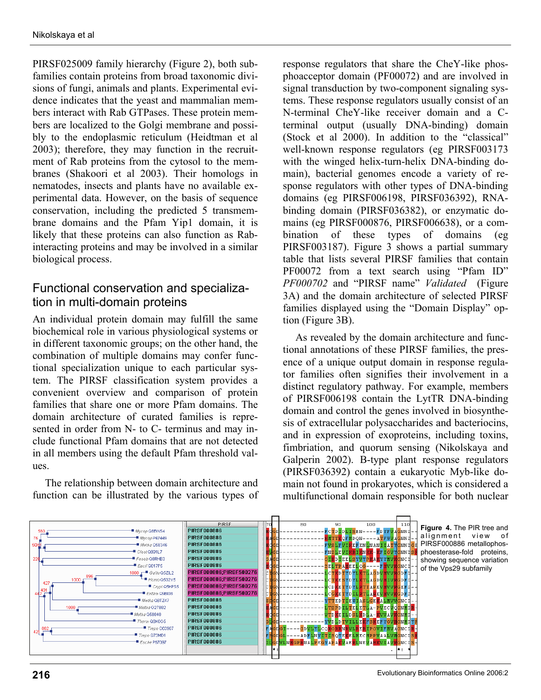PIRSF025009 family hierarchy (Figure 2), both subfamilies contain proteins from broad taxonomic divisions of fungi, animals and plants. Experimental evidence indicates that the yeast and mammalian members interact with Rab GTPases. These protein members are localized to the Golgi membrane and possibly to the endoplasmic reticulum (Heidtman et al 2003); therefore, they may function in the recruitment of Rab proteins from the cytosol to the membranes (Shakoori et al 2003). Their homologs in nematodes, insects and plants have no available experimental data. However, on the basis of sequence conservation, including the predicted 5 transmembrane domains and the Pfam Yip1 domain, it is likely that these proteins can also function as Rabinteracting proteins and may be involved in a similar biological process.

#### Functional conservation and specialization in multi-domain proteins

An individual protein domain may fulfill the same biochemical role in various physiological systems or in different taxonomic groups; on the other hand, the combination of multiple domains may confer functional specialization unique to each particular system. The PIRSF classification system provides a convenient overview and comparison of protein families that share one or more Pfam domains. The domain architecture of curated families is represented in order from N- to C- terminus and may include functional Pfam domains that are not detected in all members using the default Pfam threshold values.

The relationship between domain architecture and function can be illustrated by the various types of response regulators that share the CheY-like phosphoacceptor domain (PF00072) and are involved in signal transduction by two-component signaling systems. These response regulators usually consist of an N-terminal CheY-like receiver domain and a Cterminal output (usually DNA-binding) domain (Stock et al 2000). In addition to the "classical" well-known response regulators (eg PIRSF003173 with the winged helix-turn-helix DNA-binding domain), bacterial genomes encode a variety of response regulators with other types of DNA-binding domains (eg PIRSF006198, PIRSF036392), RNAbinding domain (PIRSF036382), or enzymatic domains (eg PIRSF000876, PIRSF006638), or a combination of these types of domains (eg PIRSF003187). Figure 3 shows a partial summary table that lists several PIRSF families that contain PF00072 from a text search using "Pfam ID" *PF000702* and "PIRSF name" *Validated* (Figure 3A) and the domain architecture of selected PIRSF families displayed using the "Domain Display" option (Figure 3B).

As revealed by the domain architecture and functional annotations of these PIRSF families, the presence of a unique output domain in response regulator families often signifies their involvement in a distinct regulatory pathway. For example, members of PIRSF006198 contain the LytTR DNA-binding domain and control the genes involved in biosynthesis of extracellular polysaccharides and bacteriocins, and in expression of exoproteins, including toxins, fimbriation, and quorum sensing (Nikolskaya and Galperin 2002). B-type plant response regulators (PIRSF036392) contain a eukaryotic Myb-like domain not found in prokaryotes, which is considered a multifunctional domain responsible for both nuclear

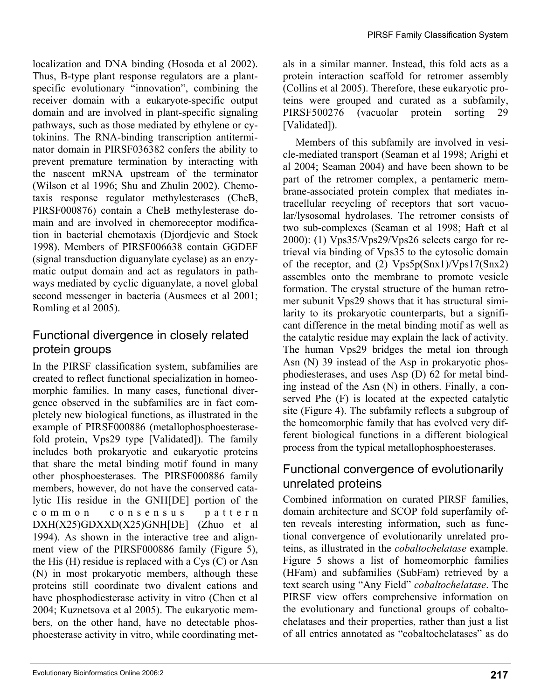localization and DNA binding (Hosoda et al 2002). Thus, B-type plant response regulators are a plantspecific evolutionary "innovation", combining the receiver domain with a eukaryote-specific output domain and are involved in plant-specific signaling pathways, such as those mediated by ethylene or cytokinins. The RNA-binding transcription antiterminator domain in PIRSF036382 confers the ability to prevent premature termination by interacting with the nascent mRNA upstream of the terminator (Wilson et al 1996; Shu and Zhulin 2002). Chemotaxis response regulator methylesterases (CheB, PIRSF000876) contain a CheB methylesterase domain and are involved in chemoreceptor modification in bacterial chemotaxis (Djordjevic and Stock 1998). Members of PIRSF006638 contain GGDEF (signal transduction diguanylate cyclase) as an enzymatic output domain and act as regulators in pathways mediated by cyclic diguanylate, a novel global second messenger in bacteria (Ausmees et al 2001; Romling et al 2005).

# Functional divergence in closely related protein groups

In the PIRSF classification system, subfamilies are created to reflect functional specialization in homeomorphic families. In many cases, functional divergence observed in the subfamilies are in fact completely new biological functions, as illustrated in the example of PIRSF000886 (metallophosphoesterasefold protein, Vps29 type [Validated]). The family includes both prokaryotic and eukaryotic proteins that share the metal binding motif found in many other phosphoesterases. The PIRSF000886 family members, however, do not have the conserved catalytic His residue in the GNH[DE] portion of the common consensus pattern DXH(X25)GDXXD(X25)GNH[DE] (Zhuo et al 1994). As shown in the interactive tree and alignment view of the PIRSF000886 family (Figure 5), the His (H) residue is replaced with a Cys (C) or Asn (N) in most prokaryotic members, although these proteins still coordinate two divalent cations and have phosphodiesterase activity in vitro (Chen et al 2004; Kuznetsova et al 2005). The eukaryotic members, on the other hand, have no detectable phosphoesterase activity in vitro, while coordinating metals in a similar manner. Instead, this fold acts as a protein interaction scaffold for retromer assembly (Collins et al 2005). Therefore, these eukaryotic proteins were grouped and curated as a subfamily, PIRSF500276 (vacuolar protein sorting 29 [Validated]).

Members of this subfamily are involved in vesicle-mediated transport (Seaman et al 1998; Arighi et al 2004; Seaman 2004) and have been shown to be part of the retromer complex, a pentameric membrane-associated protein complex that mediates intracellular recycling of receptors that sort vacuolar/lysosomal hydrolases. The retromer consists of two sub-complexes (Seaman et al 1998; Haft et al 2000): (1) Vps35/Vps29/Vps26 selects cargo for retrieval via binding of Vps35 to the cytosolic domain of the receptor, and (2) Vps5p(Snx1)/Vps17(Snx2) assembles onto the membrane to promote vesicle formation. The crystal structure of the human retromer subunit Vps29 shows that it has structural similarity to its prokaryotic counterparts, but a significant difference in the metal binding motif as well as the catalytic residue may explain the lack of activity. The human Vps29 bridges the metal ion through Asn (N) 39 instead of the Asp in prokaryotic phosphodiesterases, and uses Asp (D) 62 for metal binding instead of the Asn (N) in others. Finally, a conserved Phe (F) is located at the expected catalytic site (Figure 4). The subfamily reflects a subgroup of the homeomorphic family that has evolved very different biological functions in a different biological process from the typical metallophosphoesterases.

# Functional convergence of evolutionarily unrelated proteins

Combined information on curated PIRSF families, domain architecture and SCOP fold superfamily often reveals interesting information, such as functional convergence of evolutionarily unrelated proteins, as illustrated in the *cobaltochelatase* example. Figure 5 shows a list of homeomorphic families (HFam) and subfamilies (SubFam) retrieved by a text search using "Any Field" *cobaltochelatase*. The PIRSF view offers comprehensive information on the evolutionary and functional groups of cobaltochelatases and their properties, rather than just a list of all entries annotated as "cobaltochelatases" as do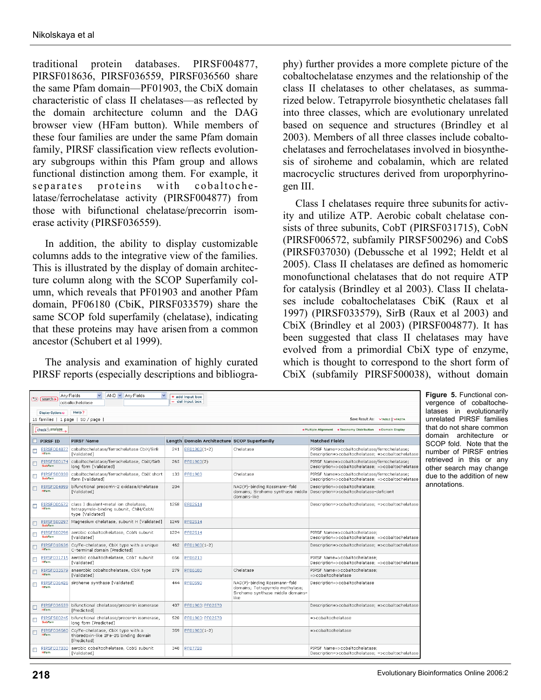traditional protein databases. PIRSF004877, PIRSF018636, PIRSF036559, PIRSF036560 share the same Pfam domain—PF01903, the CbiX domain characteristic of class II chelatases—as reflected by the domain architecture column and the DAG browser view (HFam button). While members of these four families are under the same Pfam domain family, PIRSF classification view reflects evolutionary subgroups within this Pfam group and allows functional distinction among them. For example, it separates proteins with cobaltochelatase/ferrochelatase activity (PIRSF004877) from those with bifunctional chelatase/precorrin isomerase activity (PIRSF036559).

In addition, the ability to display customizable columns adds to the integrative view of the families. This is illustrated by the display of domain architecture column along with the SCOP Superfamily column, which reveals that PF01903 and another Pfam domain, PF06180 (CbiK, PIRSF033579) share the same SCOP fold superfamily (chelatase), indicating that these proteins may have arisen from a common ancestor (Schubert et al 1999).

The analysis and examination of highly curated PIRSF reports (especially descriptions and bibliography) further provides a more complete picture of the cobaltochelatase enzymes and the relationship of the class II chelatases to other chelatases, as summarized below. Tetrapyrrole biosynthetic chelatases fall into three classes, which are evolutionary unrelated based on sequence and structures (Brindley et al 2003). Members of all three classes include cobaltochelatases and ferrochelatases involved in biosynthesis of siroheme and cobalamin, which are related macrocyclic structures derived from uroporphyrinogen III.

Class I chelatases require three subunits for activity and utilize ATP. Aerobic cobalt chelatase consists of three subunits, CobT (PIRSF031715), CobN (PIRSF006572, subfamily PIRSF500296) and CobS (PIRSF037030) (Debussche et al 1992; Heldt et al 2005). Class II chelatases are defined as homomeric monofunctional chelatases that do not require ATP for catalysis (Brindley et al 2003). Class II chelatases include cobaltochelatases CbiK (Raux et al 1997) (PIRSF033579), SirB (Raux et al 2003) and CbiX (Brindley et al 2003) (PIRSF004877). It has been suggested that class II chelatases may have evolved from a primordial CbiX type of enzyme, which is thought to correspond to the short form of CbiX (subfamily PIRSF500038), without domain

| Any Fields<br>AND v Any Fields<br>+ add input box<br>$\Rightarrow$ (search $\blacktriangleright$<br>- del input box<br>cobaltochelatase |                                                                                                      |      |                                             |                                                                                                               |                                                                                                   |  |  |  |  |
|-----------------------------------------------------------------------------------------------------------------------------------------|------------------------------------------------------------------------------------------------------|------|---------------------------------------------|---------------------------------------------------------------------------------------------------------------|---------------------------------------------------------------------------------------------------|--|--|--|--|
| Help?<br>Display Options D<br>15 families   1 page   50 / page  <br>Save Result As: >TABLE   >FASTA                                     |                                                                                                      |      |                                             |                                                                                                               |                                                                                                   |  |  |  |  |
| check & analyze<br>. Multiple Alignment . Taxonomy Distribution . Domain Display                                                        |                                                                                                      |      |                                             |                                                                                                               |                                                                                                   |  |  |  |  |
| PIRSE ID                                                                                                                                | <b>PIRSE Name</b>                                                                                    |      | Length Domain Architecture SCOP Superfamily |                                                                                                               | <b>Matched Fields</b>                                                                             |  |  |  |  |
| PIRSF004877<br>□<br><b>HFam</b>                                                                                                         | cobaltochelatase/ferrochelatase CbiX/SirB<br>[Validated]                                             | 241  | PF01903(1-2)                                | Chelatase                                                                                                     | PIRSF Name=>cobaltochelatase/ferrochelatase;<br>Description=>cobaltochelatase; =>cobaltochelatase |  |  |  |  |
| PIRSF500174<br>SubFam                                                                                                                   | cobaltochelatase/ferrochelatase, CbiX/SirB<br>long form [Validated]                                  | 265  | PF01903(2)                                  |                                                                                                               | PIRSF Name=>cobaltochelatase/ferrochelatase;<br>Description=>cobaltochelatase; =>cobaltochelatase |  |  |  |  |
| PIRSF500038<br>□<br>SubFam                                                                                                              | cobaltochelatase/ferrochelatase, CbiX short<br>form [Validated]                                      | 133  | PF01903                                     | Chelatase                                                                                                     | PIRSF Name=>cobaltochelatase/ferrochelatase:<br>Description=>cobaltochelatase: =>cobaltochelatase |  |  |  |  |
| PIRSF004999<br>□<br><b>HFam</b>                                                                                                         | bifunctional precorrin-2 oxidase/chelatase<br>[Validated]                                            | 204  |                                             | NAD(P)-binding Rossmann-fold<br>domains; Siroheme synthase middle<br>domains-like                             | Description=>cobaltochelatase;<br>Description=>cobaltochelatase-deficient                         |  |  |  |  |
| PIRSF006572<br>□<br><b>HFam</b>                                                                                                         | class I divalent-metal ion chelatase,<br>tetrapyrrole-binding subunit, ChlH/CobN<br>type [Validated] | 1258 | PF02514                                     |                                                                                                               | Description=>cobaltochelatase; =>cobaltochelatase                                                 |  |  |  |  |
| PIRSF500297<br>□<br>SubFam                                                                                                              | Magnesium chelatase, subunit H [Validated]                                                           | 1249 | PF02514                                     |                                                                                                               |                                                                                                   |  |  |  |  |
| PIRSF500296<br>П<br>SubFam                                                                                                              | aerobic cobaltochelatase, CobN subunit<br>[Validated]                                                | 1224 | PF02514                                     |                                                                                                               | PIRSF Name=>cobaltochelatase;<br>Description=>cobaltochelatase; =>cobaltochelatase                |  |  |  |  |
| □<br><b>HFam</b>                                                                                                                        | PIRSF018636 Co/Fe-chelatase, CbiX type with a unique<br>C-terminal domain [Predicted]                | 462  | PF01903(1-2)                                |                                                                                                               | Description=>cobaltochelatase; =>cobaltochelatase                                                 |  |  |  |  |
| PIRSF031715<br>□<br><b>HFam</b>                                                                                                         | aerobic cobaltochelatase, CobT subunit<br>[Validated]                                                | 656  | PF06213                                     |                                                                                                               | PIRSF Name=>cobaltochelatase:<br>Description=>cobaltochelatase: =>cobaltochelatase                |  |  |  |  |
| PIRSF033579<br>□<br><b>HFam</b>                                                                                                         | anaerobic cobaltochelatase, CbiK type<br>[Validated]                                                 | 279  | PF06180                                     | Chelatase                                                                                                     | PIRSF Name=>cobaltochelatase;<br>=>cobaltochelatase                                               |  |  |  |  |
| PIRSF036426<br>□<br><b>HFam</b>                                                                                                         | siroheme synthase [Validated]                                                                        | 444  | PF00590                                     | NAD(P)-binding Rossmann-fold<br>domains; Tetrapyrrole methylase;<br>Siroheme synthase middle domains-<br>like | Description=>cobaltochelatase                                                                     |  |  |  |  |
| □<br><b>HFam</b>                                                                                                                        | PIRSF036559 bifunctional chelatase/precorrin isomerase<br>[Predicted]                                | 407  | PF01903; PF02570                            |                                                                                                               | Description=>cobaltochelatase; =>cobaltochelatase                                                 |  |  |  |  |
| □<br>SubFam                                                                                                                             | PIRSF500245   bifunctional chelatase/precorrin isomerase,<br>long form [Predicted]                   | 528  | PF01903: PF02570                            |                                                                                                               | =>cobaltochelatase                                                                                |  |  |  |  |
| PIRSF036560<br>□<br><b>HFam</b>                                                                                                         | Co/Fe-chelatase, CbiX type with a<br>thioredoxin-like 2Fe-2S binding domain<br>[Predicted]           | 359  | PF01903(1-2)                                |                                                                                                               | =>cobaltochelatase                                                                                |  |  |  |  |
| PIRSF037030<br>□<br><b>HFam</b>                                                                                                         | aerobic cobaltochelatase, CobS subunit<br>[Validated]                                                | 348  | PF07728                                     |                                                                                                               | PIRSF Name=>cobaltochelatase:<br>Description=>cobaltochelatase: =>cobaltochelatase                |  |  |  |  |

**Figure 5.** Functional convergence of cobaltochelatases in evolutionarily unrelated PIRSF families that do not share common domain architecture or SCOP fold. Note that the number of PIRSF entries retrieved in this or any other search may change due to the addition of new annotations.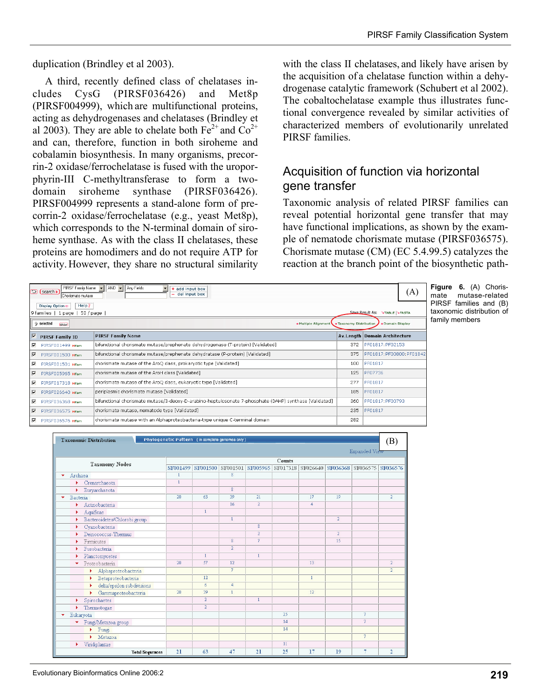duplication (Brindley et al 2003).

A third, recently defined class of chelatases includes CysG (PIRSF036426) and Met8p (PIRSF004999), which are multifunctional proteins, acting as dehydrogenases and chelatases (Brindley et al 2003). They are able to chelate both  $Fe^{2+}$  and  $Co^{2+}$ and can, therefore, function in both siroheme and cobalamin biosynthesis. In many organisms, precorrin-2 oxidase/ferrochelatase is fused with the uroporphyrin-III C-methyltransferase to form a twodomain siroheme synthase (PIRSF036426). PIRSF004999 represents a stand-alone form of precorrin-2 oxidase/ferrochelatase (e.g., yeast Met8p), which corresponds to the N-terminal domain of siroheme synthase. As with the class II chelatases, these proteins are homodimers and do not require ATP for activity. However, they share no structural similarity with the class II chelatases, and likely have arisen by the acquisition of a chelatase function within a dehydrogenase catalytic framework (Schubert et al 2002). The cobaltochelatase example thus illustrates functional convergence revealed by similar activities of characterized members of evolutionarily unrelated PIRSF families.

# Acquisition of function via horizontal gene transfer

Taxonomic analysis of related PIRSF families can reveal potential horizontal gene transfer that may have functional implications, as shown by the example of nematode chorismate mutase (PIRSF036575). Chorismate mutase (CM) (EC 5.4.99.5) catalyzes the reaction at the branch point of the biosynthetic path-

| ы<br>$\sqrt{\text{search}}$<br>Chorismate mutase             | PIRSF Family Name v   AND v   Any Fields<br>+ add input box<br>$\overline{\phantom{0}}$<br>- del input box |                         | Figi<br>(A)                                 |
|--------------------------------------------------------------|------------------------------------------------------------------------------------------------------------|-------------------------|---------------------------------------------|
| Help?<br>Display Option D<br>9 families   1 page   50 / page |                                                                                                            |                         | <b>PIR</b><br>Save Result As: VTABLE VFASTA |
| 9 selected<br>show                                           | · Multiple Alignment                                                                                       | . Taxonomy Distribution | · Domain Display                            |
| ⊽<br><b>PIRSF Family ID</b>                                  | <b>PIRSF Family Name</b>                                                                                   |                         | Av.Length   Domain Architecture             |
| ⊽<br>PIRSE001499 HFam                                        | bifunctional chorismate mutase/prephenate dehydrogenase (T-protein) [Validated]                            | 372                     | PF01817: PF02153                            |
| $\overline{\mathbf{v}}$<br>PIRSF001500 HFam                  | bifunctional chorismate mutase/prephenate dehydratase (P-protein) [Validated]                              | 375                     | PF01817 PF00800 PF01842                     |
| ⊽<br>PIRSF001501 HFam                                        | chorismate mutase of the AroQ class, prokaryotic type [Validated]                                          | 100                     | PF01817                                     |
| ⊽<br>PIRSE005965 HFam                                        | chorismate mutase of the AroH class [Validated]                                                            | 125                     | PF07736                                     |
| ⊽<br>PIRSF017318 HFam                                        | chorismate mutase of the AroQ class, eukaryotic type [Validated]                                           | 277                     | PF01817                                     |
| ⊽<br>PIRSF026640 HFam                                        | periplasmic chorismate mutase [Validated]                                                                  | 185                     | PF01817                                     |
| ⊽<br>PIRSE036368 HFam                                        | bifunctional chorismate mutase/3-deoxy-D-arabino-heptulosonate 7-phosphate (DAHP) synthase [Validated]     | 360                     | PF01817:PF00793                             |
| ⊽<br>PIRSE036575 HEam                                        | chorismate mutase, nematode type [Validated]                                                               | 235                     | PF01817                                     |
| ⊽<br>PIRSF036576 HFam                                        | chorismate mutase with an Alphaproteobacteria-type unique C-terminal domain                                | 282                     |                                             |

**Figure 6.** (A) Choriste mutase-related  $SF$  families and  $(B)$ onomic distribution of ily members

| <b>Taxonomic Distribution</b>     | Phylogenetic Pattern (in complete genomes only) |                                     |                |                |          |                |                |                            | (B)            |
|-----------------------------------|-------------------------------------------------|-------------------------------------|----------------|----------------|----------|----------------|----------------|----------------------------|----------------|
|                                   |                                                 |                                     |                |                |          |                |                | Expanded View              |                |
| <b>Taxonomy Nodes</b>             |                                                 |                                     |                |                | Counts   |                |                |                            |                |
|                                   |                                                 | SF001499 SF001500 SF001501 SF005965 |                |                | SF017318 | SF026640       |                | SF036368 SF036575 SF036576 |                |
| Archaea<br>٠                      |                                                 |                                     | 8              |                |          |                |                |                            |                |
| Crenarchaeota<br>ь                | $\mathbf{1}$                                    |                                     |                |                |          |                |                |                            |                |
| Euryarchaeota<br>١                |                                                 |                                     | 8              |                |          |                |                |                            |                |
| Bacteria<br>٠                     | 20                                              | 63                                  | 39             | 21             |          | 17             | 19             |                            | $\overline{2}$ |
| Actinobacteria<br>٠               |                                                 |                                     | 16             | $\overline{a}$ |          | $\overline{4}$ |                |                            |                |
| Aquificae<br>ь                    |                                                 | $\mathbf{1}$                        |                |                |          |                |                |                            |                |
| Bacteroidetes/Chlorobi group<br>٠ |                                                 |                                     | $\mathbf{1}$   |                |          |                | $\overline{2}$ |                            |                |
| Cyanobacteria<br>¥                |                                                 |                                     |                | 8              |          |                |                |                            |                |
| Deinococcus-Thermus<br>٠          |                                                 |                                     |                | $\overline{2}$ |          |                | $\overline{2}$ |                            |                |
| Firmicutes<br>ь                   |                                                 |                                     | $\overline{8}$ | $\overline{7}$ |          |                | 15             |                            |                |
| Fusobacteria<br>٠                 |                                                 |                                     | $\overline{a}$ |                |          |                |                |                            |                |
| Planctomycetes<br>ь               |                                                 | $\mathbf{1}$                        |                | $\mathbf{1}$   |          |                |                |                            |                |
| Proteobacteria<br>٠               | 20 <sub>2</sub>                                 | 57                                  | 12             |                |          | 13             |                |                            | $\overline{a}$ |
| Alphaproteobacteria<br>k          |                                                 |                                     | 7              |                |          |                |                |                            | $\overline{2}$ |
| Betaproteobacteria<br>¥           |                                                 | 12                                  |                |                |          | $\mathbf{1}$   |                |                            |                |
| delta/epsilon sub divisions<br>×  |                                                 | 6                                   | $\overline{4}$ |                |          |                |                |                            |                |
| Gammaproteobacteria<br>к          | 20 <sup>°</sup>                                 | 39                                  | $\mathbf{1}$   |                |          | 12             |                |                            |                |
| Spirochaetes<br>¥                 |                                                 | $\overline{2}$                      |                | $\mathbf{1}$   |          |                |                |                            |                |
| Thermotogae<br>ь                  |                                                 | $\overline{2}$                      |                |                |          |                |                |                            |                |
| Eukaryota<br>٠                    |                                                 |                                     |                |                | 25       |                |                | 7                          |                |
| Fungi/Metazoa group<br>٠          |                                                 |                                     |                |                | 14       |                |                | 7                          |                |
| Fungi<br>٠                        |                                                 |                                     |                |                | 14       |                |                |                            |                |
| Metazoa<br>ь                      |                                                 |                                     |                |                |          |                |                | 7                          |                |
| Viridiplantae<br>١                |                                                 |                                     |                |                | 11       |                |                |                            |                |
| <b>Total Sequences</b>            | 21                                              | 63                                  | 47             | 21             | 25       | 17             | 19             | 7                          | $\overline{2}$ |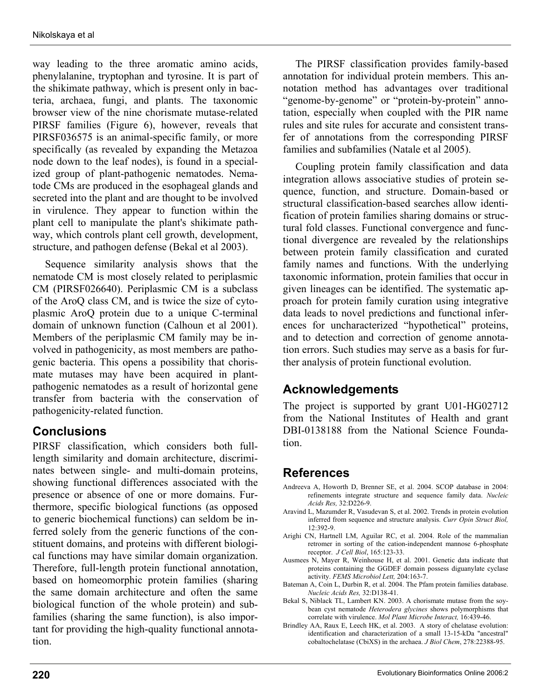way leading to the three aromatic amino acids, phenylalanine, tryptophan and tyrosine. It is part of the shikimate pathway, which is present only in bacteria, archaea, fungi, and plants. The taxonomic browser view of the nine chorismate mutase-related PIRSF families (Figure 6), however, reveals that PIRSF036575 is an animal-specific family, or more specifically (as revealed by expanding the Metazoa node down to the leaf nodes), is found in a specialized group of plant-pathogenic nematodes. Nematode CMs are produced in the esophageal glands and secreted into the plant and are thought to be involved in virulence. They appear to function within the plant cell to manipulate the plant's shikimate pathway, which controls plant cell growth, development, structure, and pathogen defense (Bekal et al 2003).

Sequence similarity analysis shows that the nematode CM is most closely related to periplasmic CM (PIRSF026640). Periplasmic CM is a subclass of the AroQ class CM, and is twice the size of cytoplasmic AroQ protein due to a unique C-terminal domain of unknown function (Calhoun et al 2001). Members of the periplasmic CM family may be involved in pathogenicity, as most members are pathogenic bacteria. This opens a possibility that chorismate mutases may have been acquired in plantpathogenic nematodes as a result of horizontal gene transfer from bacteria with the conservation of pathogenicity-related function.

# **Conclusions**

PIRSF classification, which considers both fulllength similarity and domain architecture, discriminates between single- and multi-domain proteins, showing functional differences associated with the presence or absence of one or more domains. Furthermore, specific biological functions (as opposed to generic biochemical functions) can seldom be inferred solely from the generic functions of the constituent domains, and proteins with different biological functions may have similar domain organization. Therefore, full-length protein functional annotation, based on homeomorphic protein families (sharing the same domain architecture and often the same biological function of the whole protein) and subfamilies (sharing the same function), is also important for providing the high-quality functional annotation.

The PIRSF classification provides family-based annotation for individual protein members. This annotation method has advantages over traditional "genome-by-genome" or "protein-by-protein" annotation, especially when coupled with the PIR name rules and site rules for accurate and consistent transfer of annotations from the corresponding PIRSF families and subfamilies (Natale et al 2005).

Coupling protein family classification and data integration allows associative studies of protein sequence, function, and structure. Domain-based or structural classification-based searches allow identification of protein families sharing domains or structural fold classes. Functional convergence and functional divergence are revealed by the relationships between protein family classification and curated family names and functions. With the underlying taxonomic information, protein families that occur in given lineages can be identified. The systematic approach for protein family curation using integrative data leads to novel predictions and functional inferences for uncharacterized "hypothetical" proteins, and to detection and correction of genome annotation errors. Such studies may serve as a basis for further analysis of protein functional evolution.

# **Acknowledgements**

The project is supported by grant U01-HG02712 from the National Institutes of Health and grant DBI-0138188 from the National Science Foundation.

# **References**

- Andreeva A, Howorth D, Brenner SE, et al. 2004. SCOP database in 2004: refinements integrate structure and sequence family data. *Nucleic Acids Res,* 32:D226-9.
- Aravind L, Mazumder R, Vasudevan S, et al. 2002. Trends in protein evolution inferred from sequence and structure analysis. *Curr Opin Struct Biol,* 12:392-9.
- Arighi CN, Hartnell LM, Aguilar RC, et al. 2004. Role of the mammalian retromer in sorting of the cation-independent mannose 6-phosphate receptor. *J Cell Biol*, 165:123-33.
- Ausmees N, Mayer R, Weinhouse H, et al. 2001. Genetic data indicate that proteins containing the GGDEF domain possess diguanylate cyclase activity. *FEMS Microbiol Lett,* 204:163-7.
- Bateman A, Coin L, Durbin R, et al. 2004. The Pfam protein families database. *Nucleic Acids Res,* 32:D138-41.
- Bekal S, Niblack TL, Lambert KN. 2003. A chorismate mutase from the soybean cyst nematode *Heterodera glycines* shows polymorphisms that correlate with virulence. *Mol Plant Microbe Interact,* 16:439-46.
- Brindley AA, Raux E, Leech HK, et al. 2003. A story of chelatase evolution: identification and characterization of a small 13-15-kDa "ancestral" cobaltochelatase (CbiXS) in the archaea. *J Biol Chem*, 278:22388-95.